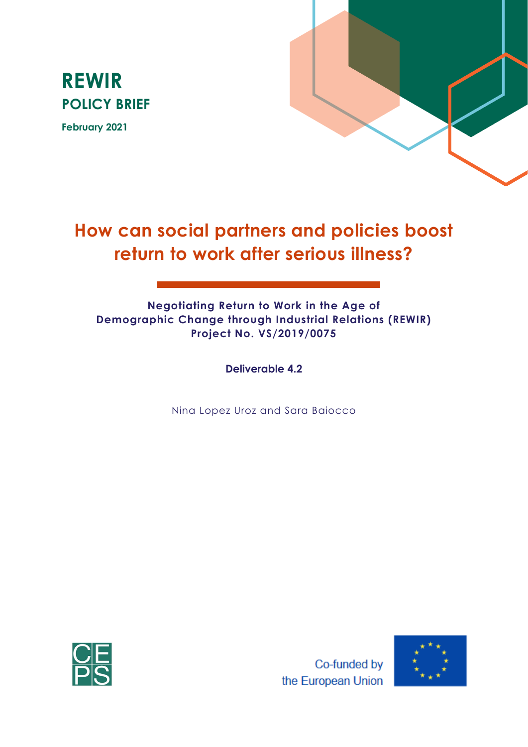

**February 2021**



# **How can social partners and policies boost return to work after serious illness?**

### **Negotiating Return to Work in the Age of Demographic Change through Industrial Relations (REWIR) Project No. VS/2019/0075**

**Deliverable 4.2**

Nina Lopez Uroz and Sara Baiocco



Co-funded by the European Union

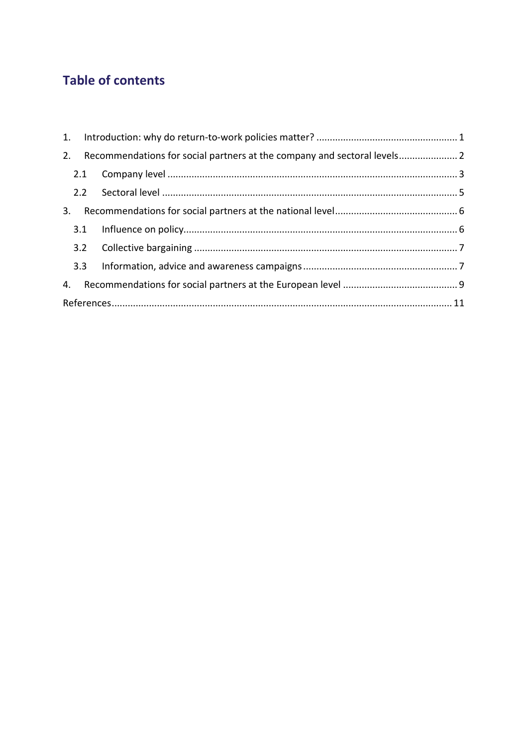## **Table of contents**

| 2. |     |  |  |  |
|----|-----|--|--|--|
|    |     |  |  |  |
|    |     |  |  |  |
| 3. |     |  |  |  |
|    |     |  |  |  |
|    |     |  |  |  |
|    | 3.3 |  |  |  |
| 4. |     |  |  |  |
|    |     |  |  |  |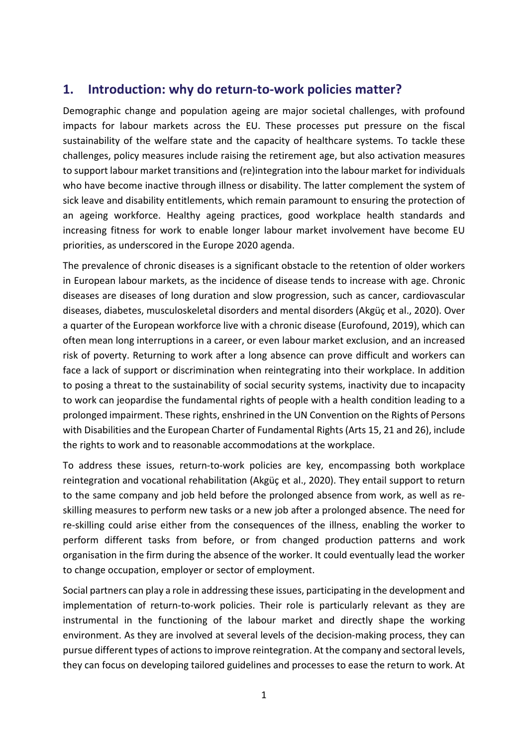## <span id="page-2-0"></span>**1. Introduction: why do return-to-work policies matter?**

Demographic change and population ageing are major societal challenges, with profound impacts for labour markets across the EU. These processes put pressure on the fiscal sustainability of the welfare state and the capacity of healthcare systems. To tackle these challenges, policy measures include raising the retirement age, but also activation measures to support labour market transitions and (re)integration into the labour market for individuals who have become inactive through illness or disability. The latter complement the system of sick leave and disability entitlements, which remain paramount to ensuring the protection of an ageing workforce. Healthy ageing practices, good workplace health standards and increasing fitness for work to enable longer labour market involvement have become EU priorities, as underscored in the Europe 2020 agenda.

The prevalence of chronic diseases is a significant obstacle to the retention of older workers in European labour markets, as the incidence of disease tends to increase with age. Chronic diseases are diseases of long duration and slow progression, such as cancer, cardiovascular diseases, diabetes, musculoskeletal disorders and mental disorders (Akgüç et al., 2020). Over a quarter of the European workforce live with a chronic disease (Eurofound, 2019), which can often mean long interruptions in a career, or even labour market exclusion, and an increased risk of poverty. Returning to work after a long absence can prove difficult and workers can face a lack of support or discrimination when reintegrating into their workplace. In addition to posing a threat to the sustainability of social security systems, inactivity due to incapacity to work can jeopardise the fundamental rights of people with a health condition leading to a prolonged impairment. These rights, enshrined in the UN Convention on the Rights of Persons with Disabilities and the European Charter of Fundamental Rights (Arts 15, 21 and 26), include the rights to work and to reasonable accommodations at the workplace.

To address these issues, return-to-work policies are key, encompassing both workplace reintegration and vocational rehabilitation (Akgüç et al., 2020). They entail support to return to the same company and job held before the prolonged absence from work, as well as reskilling measures to perform new tasks or a new job after a prolonged absence. The need for re-skilling could arise either from the consequences of the illness, enabling the worker to perform different tasks from before, or from changed production patterns and work organisation in the firm during the absence of the worker. It could eventually lead the worker to change occupation, employer or sector of employment.

Social partners can play a role in addressing these issues, participating in the development and implementation of return-to-work policies. Their role is particularly relevant as they are instrumental in the functioning of the labour market and directly shape the working environment. As they are involved at several levels of the decision-making process, they can pursue different types of actions to improve reintegration. At the company and sectoral levels, they can focus on developing tailored guidelines and processes to ease the return to work. At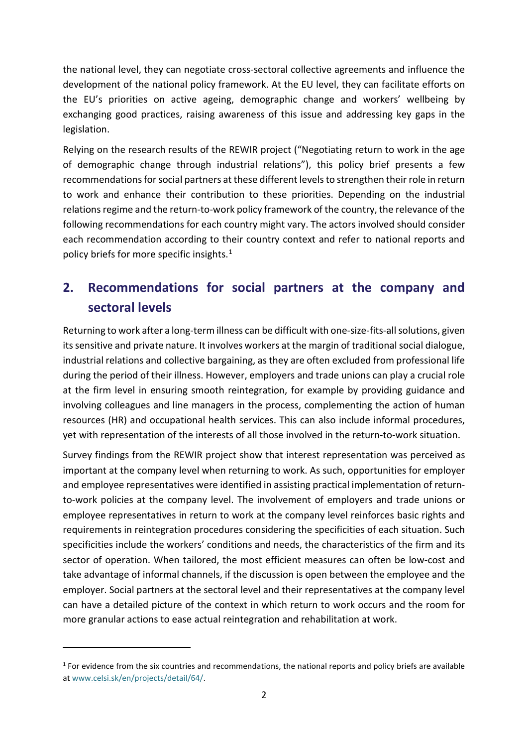the national level, they can negotiate cross-sectoral collective agreements and influence the development of the national policy framework. At the EU level, they can facilitate efforts on the EU's priorities on active ageing, demographic change and workers' wellbeing by exchanging good practices, raising awareness of this issue and addressing key gaps in the legislation.

Relying on the research results of the REWIR project ("Negotiating return to work in the age of demographic change through industrial relations"), this policy brief presents a few recommendations for social partners at these different levels to strengthen their role in return to work and enhance their contribution to these priorities. Depending on the industrial relations regime and the return-to-work policy framework of the country, the relevance of the following recommendations for each country might vary. The actors involved should consider each recommendation according to their country context and refer to national reports and policy briefs for more specific insights. [1](#page-3-1)

## <span id="page-3-0"></span>**2. Recommendations for social partners at the company and sectoral levels**

Returning to work after a long-term illness can be difficult with one-size-fits-all solutions, given its sensitive and private nature. It involves workers at the margin of traditional social dialogue, industrial relations and collective bargaining, as they are often excluded from professional life during the period of their illness. However, employers and trade unions can play a crucial role at the firm level in ensuring smooth reintegration, for example by providing guidance and involving colleagues and line managers in the process, complementing the action of human resources (HR) and occupational health services. This can also include informal procedures, yet with representation of the interests of all those involved in the return-to-work situation.

Survey findings from the REWIR project show that interest representation was perceived as important at the company level when returning to work. As such, opportunities for employer and employee representatives were identified in assisting practical implementation of returnto-work policies at the company level. The involvement of employers and trade unions or employee representatives in return to work at the company level reinforces basic rights and requirements in reintegration procedures considering the specificities of each situation. Such specificities include the workers' conditions and needs, the characteristics of the firm and its sector of operation. When tailored, the most efficient measures can often be low-cost and take advantage of informal channels, if the discussion is open between the employee and the employer. Social partners at the sectoral level and their representatives at the company level can have a detailed picture of the context in which return to work occurs and the room for more granular actions to ease actual reintegration and rehabilitation at work.

<span id="page-3-1"></span> $1$  For evidence from the six countries and recommendations, the national reports and policy briefs are available a[t www.celsi.sk/en/projects/detail/64/.](http://www.celsi.sk/en/projects/detail/64/)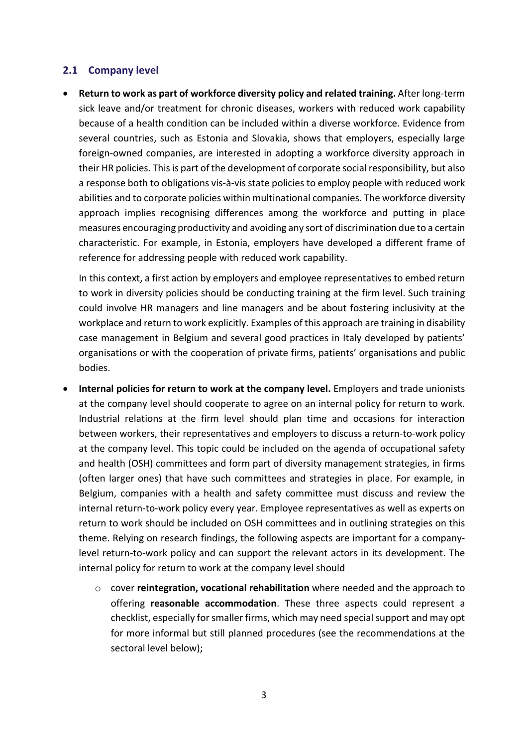#### <span id="page-4-0"></span>**2.1 Company level**

• **Return to work as part of workforce diversity policy and related training.** After long-term sick leave and/or treatment for chronic diseases, workers with reduced work capability because of a health condition can be included within a diverse workforce. Evidence from several countries, such as Estonia and Slovakia, shows that employers, especially large foreign-owned companies, are interested in adopting a workforce diversity approach in their HR policies. This is part of the development of corporate social responsibility, but also a response both to obligations vis-à-vis state policies to employ people with reduced work abilities and to corporate policies within multinational companies. The workforce diversity approach implies recognising differences among the workforce and putting in place measures encouraging productivity and avoiding any sort of discrimination due to a certain characteristic. For example, in Estonia, employers have developed a different frame of reference for addressing people with reduced work capability.

In this context, a first action by employers and employee representatives to embed return to work in diversity policies should be conducting training at the firm level. Such training could involve HR managers and line managers and be about fostering inclusivity at the workplace and return to work explicitly. Examples of this approach are training in disability case management in Belgium and several good practices in Italy developed by patients' organisations or with the cooperation of private firms, patients' organisations and public bodies.

- **Internal policies for return to work at the company level.** Employers and trade unionists at the company level should cooperate to agree on an internal policy for return to work. Industrial relations at the firm level should plan time and occasions for interaction between workers, their representatives and employers to discuss a return-to-work policy at the company level. This topic could be included on the agenda of occupational safety and health (OSH) committees and form part of diversity management strategies, in firms (often larger ones) that have such committees and strategies in place. For example, in Belgium, companies with a health and safety committee must discuss and review the internal return-to-work policy every year. Employee representatives as well as experts on return to work should be included on OSH committees and in outlining strategies on this theme. Relying on research findings, the following aspects are important for a companylevel return-to-work policy and can support the relevant actors in its development. The internal policy for return to work at the company level should
	- o cover **reintegration, vocational rehabilitation** where needed and the approach to offering **reasonable accommodation**. These three aspects could represent a checklist, especially for smaller firms, which may need special support and may opt for more informal but still planned procedures (see the recommendations at the sectoral level below);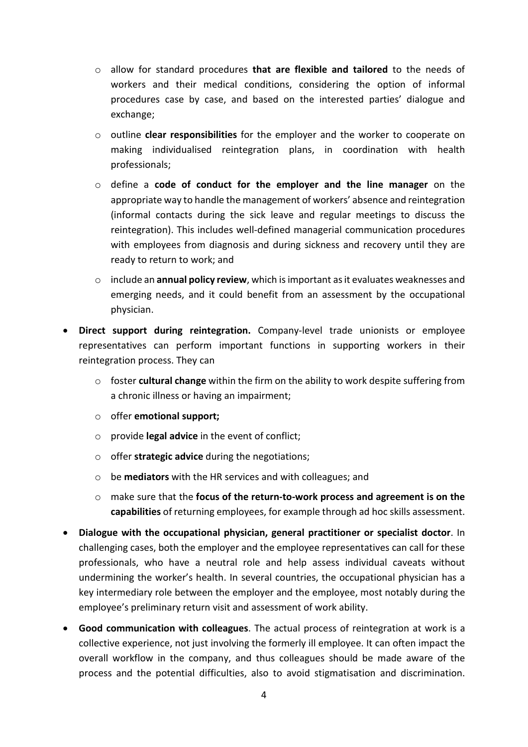- o allow for standard procedures **that are flexible and tailored** to the needs of workers and their medical conditions, considering the option of informal procedures case by case, and based on the interested parties' dialogue and exchange;
- o outline **clear responsibilities** for the employer and the worker to cooperate on making individualised reintegration plans, in coordination with health professionals;
- o define a **code of conduct for the employer and the line manager** on the appropriate way to handle the management of workers' absence and reintegration (informal contacts during the sick leave and regular meetings to discuss the reintegration). This includes well-defined managerial communication procedures with employees from diagnosis and during sickness and recovery until they are ready to return to work; and
- o include an **annual policy review**, which is important as it evaluates weaknesses and emerging needs, and it could benefit from an assessment by the occupational physician.
- **Direct support during reintegration.** Company-level trade unionists or employee representatives can perform important functions in supporting workers in their reintegration process. They can
	- o foster **cultural change** within the firm on the ability to work despite suffering from a chronic illness or having an impairment;
	- o offer **emotional support;**
	- o provide **legal advice** in the event of conflict;
	- o offer **strategic advice** during the negotiations;
	- o be **mediators** with the HR services and with colleagues; and
	- o make sure that the **focus of the return-to-work process and agreement is on the capabilities** of returning employees, for example through ad hoc skills assessment.
- **Dialogue with the occupational physician, general practitioner or specialist doctor**. In challenging cases, both the employer and the employee representatives can call for these professionals, who have a neutral role and help assess individual caveats without undermining the worker's health. In several countries, the occupational physician has a key intermediary role between the employer and the employee, most notably during the employee's preliminary return visit and assessment of work ability.
- **Good communication with colleagues**. The actual process of reintegration at work is a collective experience, not just involving the formerly ill employee. It can often impact the overall workflow in the company, and thus colleagues should be made aware of the process and the potential difficulties, also to avoid stigmatisation and discrimination.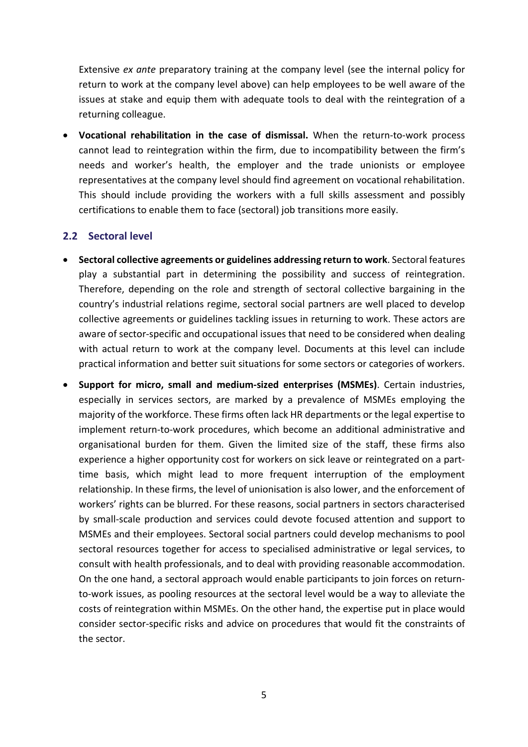Extensive *ex ante* preparatory training at the company level (see the internal policy for return to work at the company level above) can help employees to be well aware of the issues at stake and equip them with adequate tools to deal with the reintegration of a returning colleague.

• **Vocational rehabilitation in the case of dismissal.** When the return-to-work process cannot lead to reintegration within the firm, due to incompatibility between the firm's needs and worker's health, the employer and the trade unionists or employee representatives at the company level should find agreement on vocational rehabilitation. This should include providing the workers with a full skills assessment and possibly certifications to enable them to face (sectoral) job transitions more easily.

#### <span id="page-6-0"></span>**2.2 Sectoral level**

- **Sectoral collective agreements or guidelines addressing return to work**. Sectoral features play a substantial part in determining the possibility and success of reintegration. Therefore, depending on the role and strength of sectoral collective bargaining in the country's industrial relations regime, sectoral social partners are well placed to develop collective agreements or guidelines tackling issues in returning to work. These actors are aware of sector-specific and occupational issues that need to be considered when dealing with actual return to work at the company level. Documents at this level can include practical information and better suit situations for some sectors or categories of workers.
- **Support for micro, small and medium-sized enterprises (MSMEs)**. Certain industries, especially in services sectors, are marked by a prevalence of MSMEs employing the majority of the workforce. These firms often lack HR departments or the legal expertise to implement return-to-work procedures, which become an additional administrative and organisational burden for them. Given the limited size of the staff, these firms also experience a higher opportunity cost for workers on sick leave or reintegrated on a parttime basis, which might lead to more frequent interruption of the employment relationship. In these firms, the level of unionisation is also lower, and the enforcement of workers' rights can be blurred. For these reasons, social partners in sectors characterised by small-scale production and services could devote focused attention and support to MSMEs and their employees. Sectoral social partners could develop mechanisms to pool sectoral resources together for access to specialised administrative or legal services, to consult with health professionals, and to deal with providing reasonable accommodation. On the one hand, a sectoral approach would enable participants to join forces on returnto-work issues, as pooling resources at the sectoral level would be a way to alleviate the costs of reintegration within MSMEs. On the other hand, the expertise put in place would consider sector-specific risks and advice on procedures that would fit the constraints of the sector.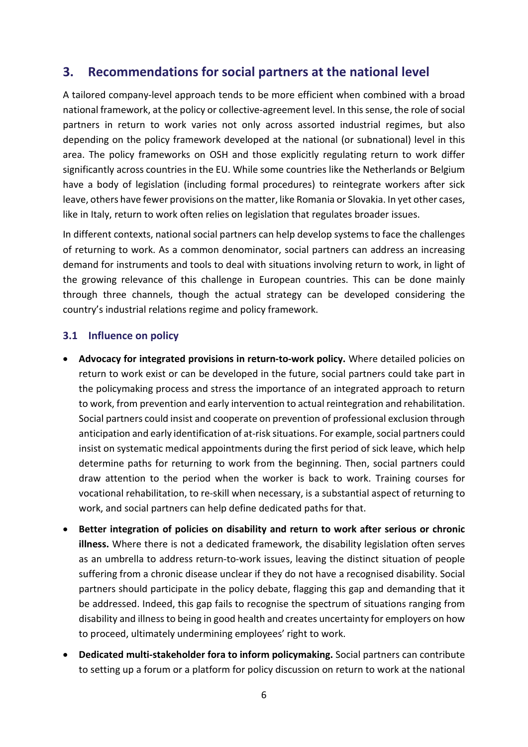## <span id="page-7-0"></span>**3. Recommendations for social partners at the national level**

A tailored company-level approach tends to be more efficient when combined with a broad national framework, at the policy or collective-agreement level. In this sense, the role of social partners in return to work varies not only across assorted industrial regimes, but also depending on the policy framework developed at the national (or subnational) level in this area. The policy frameworks on OSH and those explicitly regulating return to work differ significantly across countries in the EU. While some countries like the Netherlands or Belgium have a body of legislation (including formal procedures) to reintegrate workers after sick leave, others have fewer provisions on the matter, like Romania or Slovakia. In yet other cases, like in Italy, return to work often relies on legislation that regulates broader issues.

In different contexts, national social partners can help develop systems to face the challenges of returning to work. As a common denominator, social partners can address an increasing demand for instruments and tools to deal with situations involving return to work, in light of the growing relevance of this challenge in European countries. This can be done mainly through three channels, though the actual strategy can be developed considering the country's industrial relations regime and policy framework.

#### <span id="page-7-1"></span>**3.1 Influence on policy**

- **Advocacy for integrated provisions in return-to-work policy.** Where detailed policies on return to work exist or can be developed in the future, social partners could take part in the policymaking process and stress the importance of an integrated approach to return to work, from prevention and early intervention to actual reintegration and rehabilitation. Social partners could insist and cooperate on prevention of professional exclusion through anticipation and early identification of at-risk situations. For example, social partners could insist on systematic medical appointments during the first period of sick leave, which help determine paths for returning to work from the beginning. Then, social partners could draw attention to the period when the worker is back to work. Training courses for vocational rehabilitation, to re-skill when necessary, is a substantial aspect of returning to work, and social partners can help define dedicated paths for that.
- **Better integration of policies on disability and return to work after serious or chronic illness.** Where there is not a dedicated framework, the disability legislation often serves as an umbrella to address return-to-work issues, leaving the distinct situation of people suffering from a chronic disease unclear if they do not have a recognised disability. Social partners should participate in the policy debate, flagging this gap and demanding that it be addressed. Indeed, this gap fails to recognise the spectrum of situations ranging from disability and illness to being in good health and creates uncertainty for employers on how to proceed, ultimately undermining employees' right to work.
- **Dedicated multi-stakeholder fora to inform policymaking.** Social partners can contribute to setting up a forum or a platform for policy discussion on return to work at the national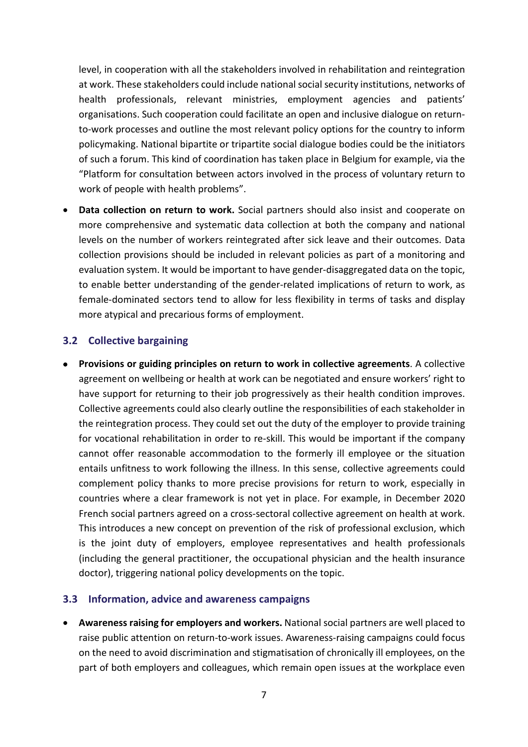level, in cooperation with all the stakeholders involved in rehabilitation and reintegration at work. These stakeholders could include national social security institutions, networks of health professionals, relevant ministries, employment agencies and patients' organisations. Such cooperation could facilitate an open and inclusive dialogue on returnto-work processes and outline the most relevant policy options for the country to inform policymaking. National bipartite or tripartite social dialogue bodies could be the initiators of such a forum. This kind of coordination has taken place in Belgium for example, via the "Platform for consultation between actors involved in the process of voluntary return to work of people with health problems".

• **Data collection on return to work.** Social partners should also insist and cooperate on more comprehensive and systematic data collection at both the company and national levels on the number of workers reintegrated after sick leave and their outcomes. Data collection provisions should be included in relevant policies as part of a monitoring and evaluation system. It would be important to have gender-disaggregated data on the topic, to enable better understanding of the gender-related implications of return to work, as female-dominated sectors tend to allow for less flexibility in terms of tasks and display more atypical and precarious forms of employment.

#### <span id="page-8-0"></span>**3.2 Collective bargaining**

• **Provisions or guiding principles on return to work in collective agreements**. A collective agreement on wellbeing or health at work can be negotiated and ensure workers' right to have support for returning to their job progressively as their health condition improves. Collective agreements could also clearly outline the responsibilities of each stakeholder in the reintegration process. They could set out the duty of the employer to provide training for vocational rehabilitation in order to re-skill. This would be important if the company cannot offer reasonable accommodation to the formerly ill employee or the situation entails unfitness to work following the illness. In this sense, collective agreements could complement policy thanks to more precise provisions for return to work, especially in countries where a clear framework is not yet in place. For example, in December 2020 French social partners agreed on a cross-sectoral collective agreement on health at work. This introduces a new concept on prevention of the risk of professional exclusion, which is the joint duty of employers, employee representatives and health professionals (including the general practitioner, the occupational physician and the health insurance doctor), triggering national policy developments on the topic.

#### <span id="page-8-1"></span>**3.3 Information, advice and awareness campaigns**

• **Awareness raising for employers and workers.** National social partners are well placed to raise public attention on return-to-work issues. Awareness-raising campaigns could focus on the need to avoid discrimination and stigmatisation of chronically ill employees, on the part of both employers and colleagues, which remain open issues at the workplace even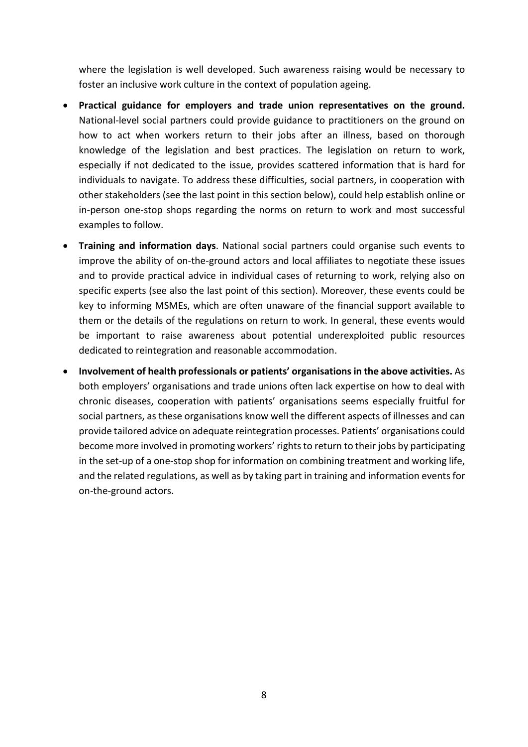where the legislation is well developed. Such awareness raising would be necessary to foster an inclusive work culture in the context of population ageing.

- **Practical guidance for employers and trade union representatives on the ground.** National-level social partners could provide guidance to practitioners on the ground on how to act when workers return to their jobs after an illness, based on thorough knowledge of the legislation and best practices. The legislation on return to work, especially if not dedicated to the issue, provides scattered information that is hard for individuals to navigate. To address these difficulties, social partners, in cooperation with other stakeholders (see the last point in this section below), could help establish online or in-person one-stop shops regarding the norms on return to work and most successful examples to follow.
- **Training and information days**. National social partners could organise such events to improve the ability of on-the-ground actors and local affiliates to negotiate these issues and to provide practical advice in individual cases of returning to work, relying also on specific experts (see also the last point of this section). Moreover, these events could be key to informing MSMEs, which are often unaware of the financial support available to them or the details of the regulations on return to work. In general, these events would be important to raise awareness about potential underexploited public resources dedicated to reintegration and reasonable accommodation.
- **Involvement of health professionals or patients' organisations in the above activities.** As both employers' organisations and trade unions often lack expertise on how to deal with chronic diseases, cooperation with patients' organisations seems especially fruitful for social partners, as these organisations know well the different aspects of illnesses and can provide tailored advice on adequate reintegration processes. Patients' organisations could become more involved in promoting workers' rights to return to their jobs by participating in the set-up of a one-stop shop for information on combining treatment and working life, and the related regulations, as well as by taking part in training and information events for on-the-ground actors.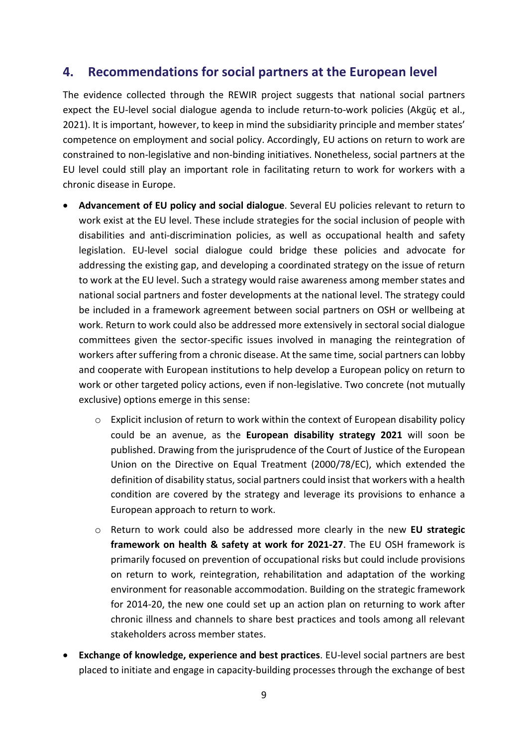### <span id="page-10-0"></span>**4. Recommendations for social partners at the European level**

The evidence collected through the REWIR project suggests that national social partners expect the EU-level social dialogue agenda to include return-to-work policies (Akgüç et al., 2021). It is important, however, to keep in mind the subsidiarity principle and member states' competence on employment and social policy. Accordingly, EU actions on return to work are constrained to non-legislative and non-binding initiatives. Nonetheless, social partners at the EU level could still play an important role in facilitating return to work for workers with a chronic disease in Europe.

- **Advancement of EU policy and social dialogue**. Several EU policies relevant to return to work exist at the EU level. These include strategies for the social inclusion of people with disabilities and anti-discrimination policies, as well as occupational health and safety legislation. EU-level social dialogue could bridge these policies and advocate for addressing the existing gap, and developing a coordinated strategy on the issue of return to work at the EU level. Such a strategy would raise awareness among member states and national social partners and foster developments at the national level. The strategy could be included in a framework agreement between social partners on OSH or wellbeing at work. Return to work could also be addressed more extensively in sectoral social dialogue committees given the sector-specific issues involved in managing the reintegration of workers after suffering from a chronic disease. At the same time, social partners can lobby and cooperate with European institutions to help develop a European policy on return to work or other targeted policy actions, even if non-legislative. Two concrete (not mutually exclusive) options emerge in this sense:
	- $\circ$  Explicit inclusion of return to work within the context of European disability policy could be an avenue, as the **European disability strategy 2021** will soon be published. Drawing from the jurisprudence of the Court of Justice of the European Union on the Directive on Equal Treatment (2000/78/EC), which extended the definition of disability status, social partners could insist that workers with a health condition are covered by the strategy and leverage its provisions to enhance a European approach to return to work.
	- o Return to work could also be addressed more clearly in the new **EU strategic framework on health & safety at work for 2021-27**. The EU OSH framework is primarily focused on prevention of occupational risks but could include provisions on return to work, reintegration, rehabilitation and adaptation of the working environment for reasonable accommodation. Building on the strategic framework for 2014-20, the new one could set up an action plan on returning to work after chronic illness and channels to share best practices and tools among all relevant stakeholders across member states.
- **Exchange of knowledge, experience and best practices**. EU-level social partners are best placed to initiate and engage in capacity-building processes through the exchange of best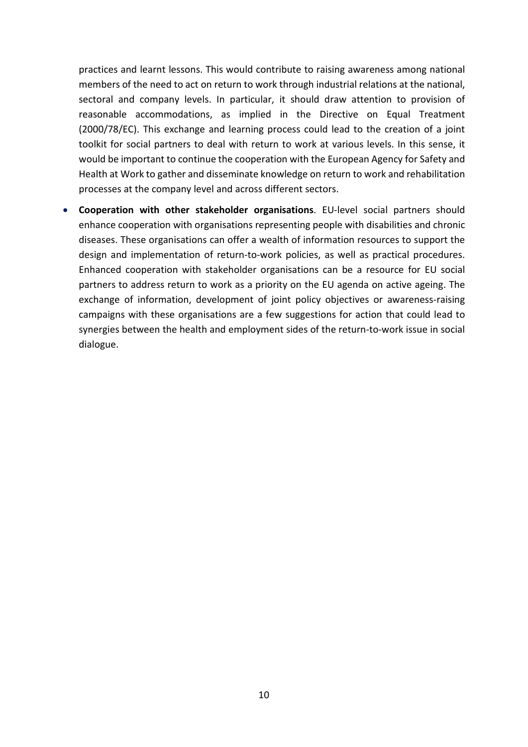practices and learnt lessons. This would contribute to raising awareness among national members of the need to act on return to work through industrial relations at the national, sectoral and company levels. In particular, it should draw attention to provision of reasonable accommodations, as implied in the Directive on Equal Treatment (2000/78/EC). This exchange and learning process could lead to the creation of a joint toolkit for social partners to deal with return to work at various levels. In this sense, it would be important to continue the cooperation with the European Agency for Safety and Health at Work to gather and disseminate knowledge on return to work and rehabilitation processes at the company level and across different sectors.

<span id="page-11-0"></span>• **Cooperation with other stakeholder organisations**. EU-level social partners should enhance cooperation with organisations representing people with disabilities and chronic diseases. These organisations can offer a wealth of information resources to support the design and implementation of return-to-work policies, as well as practical procedures. Enhanced cooperation with stakeholder organisations can be a resource for EU social partners to address return to work as a priority on the EU agenda on active ageing. The exchange of information, development of joint policy objectives or awareness-raising campaigns with these organisations are a few suggestions for action that could lead to synergies between the health and employment sides of the return-to-work issue in social dialogue.